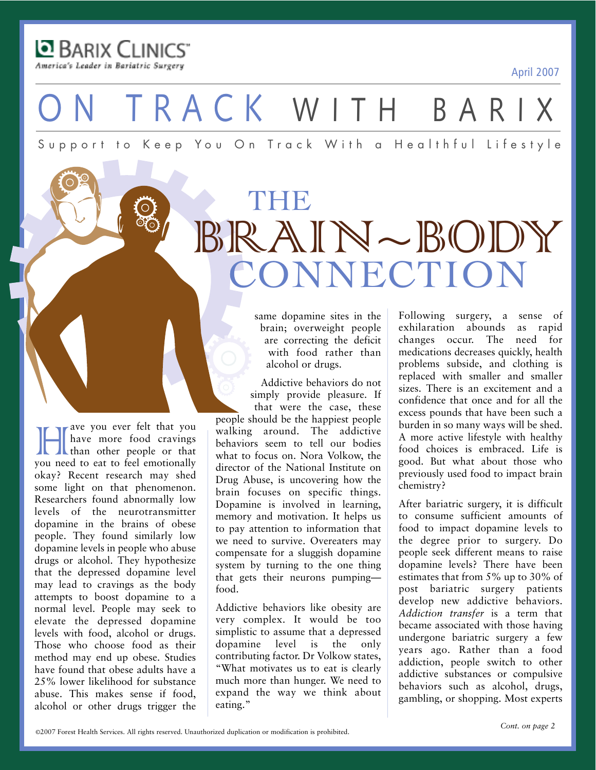April 2007

BARIX CLINICS America's Leader in Bariatric Surgery

**Have you ever felt that you**<br>have more food cravings<br>than other people or that<br>you need to eat to feel emotionally have more food cravings than other people or that you need to eat to feel emotionally okay? Recent research may shed some light on that phenomenon. Researchers found abnormally low levels of the neurotransmitter dopamine in the brains of obese people. They found similarly low dopamine levels in people who abuse drugs or alcohol. They hypothesize that the depressed dopamine level may lead to cravings as the body attempts to boost dopamine to a normal level. People may seek to elevate the depressed dopamine levels with food, alcohol or drugs. Those who choose food as their method may end up obese. Studies have found that obese adults have a 25% lower likelihood for substance abuse. This makes sense if food, alcohol or other drugs trigger the

ON TRACK WITH BARIX

Support to Keep You On Track With a Healthful Lifestyle

# THE BRAIN~BODY CONNECTION

same dopamine sites in the brain; overweight people are correcting the deficit with food rather than alcohol or drugs.

Addictive behaviors do not simply provide pleasure. If that were the case, these people should be the happiest people walking around. The addictive behaviors seem to tell our bodies what to focus on. Nora Volkow, the director of the National Institute on Drug Abuse, is uncovering how the brain focuses on specific things. Dopamine is involved in learning, memory and motivation. It helps us to pay attention to information that we need to survive. Overeaters may compensate for a sluggish dopamine system by turning to the one thing that gets their neurons pumping food.

Addictive behaviors like obesity are very complex. It would be too simplistic to assume that a depressed dopamine level is the only contributing factor. Dr Volkow states, "What motivates us to eat is clearly much more than hunger. We need to expand the way we think about eating."

Following surgery, a sense of exhilaration abounds as rapid changes occur. The need for medications decreases quickly, health problems subside, and clothing is replaced with smaller and smaller sizes. There is an excitement and a confidence that once and for all the excess pounds that have been such a burden in so many ways will be shed. A more active lifestyle with healthy food choices is embraced. Life is good. But what about those who previously used food to impact brain chemistry?

After bariatric surgery, it is difficult to consume sufficient amounts of food to impact dopamine levels to the degree prior to surgery. Do people seek different means to raise dopamine levels? There have been estimates that from 5% up to 30% of post bariatric surgery patients develop new addictive behaviors. *Addiction transfer* is a term that became associated with those having undergone bariatric surgery a few years ago. Rather than a food addiction, people switch to other addictive substances or compulsive behaviors such as alcohol, drugs, gambling, or shopping. Most experts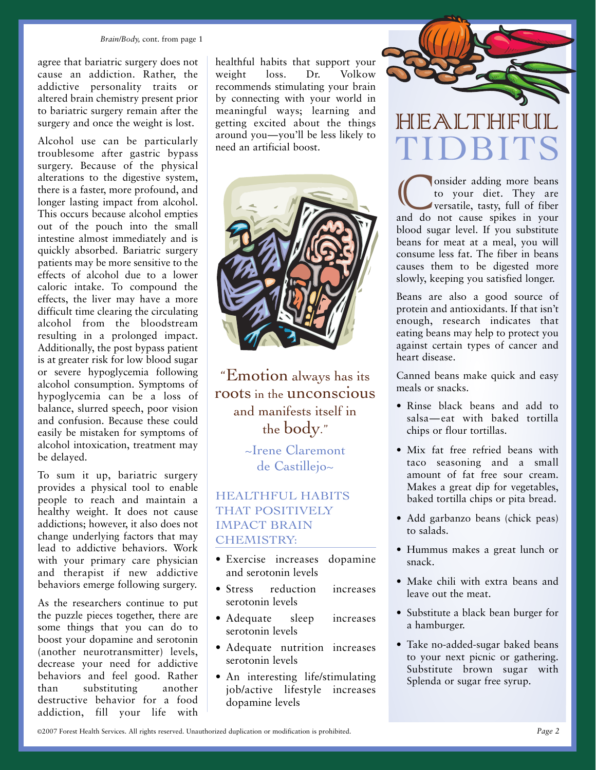#### *Brain/Body,* cont. from page 1

agree that bariatric surgery does not cause an addiction. Rather, the addictive personality traits or altered brain chemistry present prior to bariatric surgery remain after the surgery and once the weight is lost.

Alcohol use can be particularly troublesome after gastric bypass surgery. Because of the physical alterations to the digestive system, there is a faster, more profound, and longer lasting impact from alcohol. This occurs because alcohol empties out of the pouch into the small intestine almost immediately and is quickly absorbed. Bariatric surgery patients may be more sensitive to the effects of alcohol due to a lower caloric intake. To compound the effects, the liver may have a more difficult time clearing the circulating alcohol from the bloodstream resulting in a prolonged impact. Additionally, the post bypass patient is at greater risk for low blood sugar or severe hypoglycemia following alcohol consumption. Symptoms of hypoglycemia can be a loss of balance, slurred speech, poor vision and confusion. Because these could easily be mistaken for symptoms of alcohol intoxication, treatment may be delayed.

To sum it up, bariatric surgery provides a physical tool to enable people to reach and maintain a healthy weight. It does not cause addictions; however, it also does not change underlying factors that may lead to addictive behaviors. Work with your primary care physician and therapist if new addictive behaviors emerge following surgery.

As the researchers continue to put the puzzle pieces together, there are some things that you can do to boost your dopamine and serotonin (another neurotransmitter) levels, decrease your need for addictive behaviors and feel good. Rather than substituting another destructive behavior for a food addiction, fill your life with

healthful habits that support your weight loss. Dr. Volkow recommends stimulating your brain by connecting with your world in meaningful ways; learning and getting excited about the things around you—you'll be less likely to need an artificial boost.



"Emotion always has its roots in the **unconscious** and manifests itself in the body."

> ~Irene Claremont de Castillejo~

#### HEALTHFUL HABITS THAT POSITIVELY IMPACT BRAIN CHEMISTRY:

- Exercise increases dopamine and serotonin levels
- Stress reduction increases serotonin levels
- Adequate sleep increases serotonin levels
- Adequate nutrition increases serotonin levels
- An interesting life/stimulating job/active lifestyle increases dopamine levels



## HIEALTHIFI TIDBITS

Consider adding more beans<br>to your diet. They are<br>versatile, tasty, full of fiber<br>and do not cause spikes in your to your diet. They are versatile, tasty, full of fiber blood sugar level. If you substitute beans for meat at a meal, you will consume less fat. The fiber in beans causes them to be digested more slowly, keeping you satisfied longer.

Beans are also a good source of protein and antioxidants. If that isn't enough, research indicates that eating beans may help to protect you against certain types of cancer and heart disease.

Canned beans make quick and easy meals or snacks.

- Rinse black beans and add to salsa—eat with baked tortilla chips or flour tortillas.
- Mix fat free refried beans with taco seasoning and a small amount of fat free sour cream. Makes a great dip for vegetables, baked tortilla chips or pita bread.
- Add garbanzo beans (chick peas) to salads.
- Hummus makes a great lunch or snack.
- Make chili with extra beans and leave out the meat.
- Substitute a black bean burger for a hamburger.
- Take no-added-sugar baked beans to your next picnic or gathering. Substitute brown sugar with Splenda or sugar free syrup.

©2007 Forest Health Services. All rights reserved. Unauthorized duplication or modification is prohibited.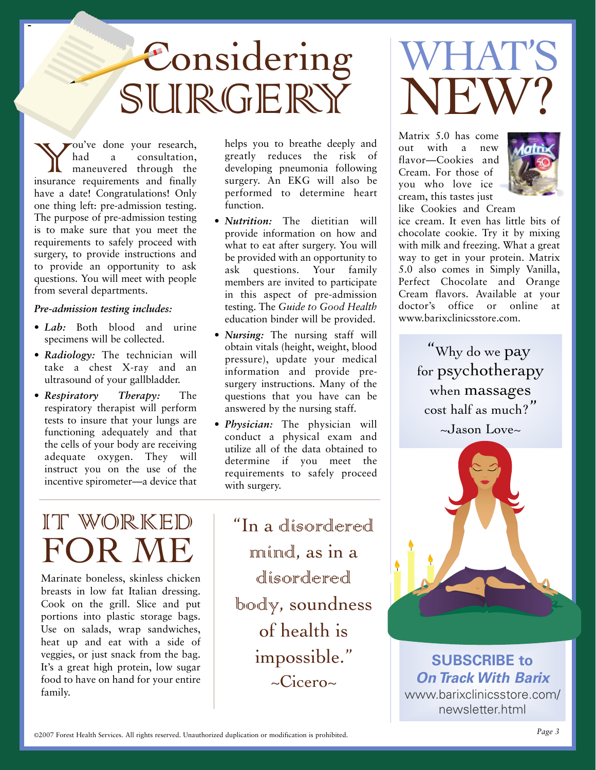# Considering SURGERY

You've done your research,<br>
had a consultation,<br>
insurance requirements and finally had a consultation, maneuvered through the have a date! Congratulations! Only one thing left: pre-admission testing. The purpose of pre-admission testing is to make sure that you meet the requirements to safely proceed with surgery, to provide instructions and to provide an opportunity to ask questions. You will meet with people from several departments.

-

#### *Pre-admission testing includes:*

- *Lab:* Both blood and urine specimens will be collected.
- *Radiology:* The technician will take a chest X-ray and an ultrasound of your gallbladder.
- *Respiratory Therapy:* The respiratory therapist will perform tests to insure that your lungs are functioning adequately and that the cells of your body are receiving adequate oxygen. They will instruct you on the use of the incentive spirometer—a device that

IT WORKED FOR ME

Marinate boneless, skinless chicken breasts in low fat Italian dressing. Cook on the grill. Slice and put portions into plastic storage bags. Use on salads, wrap sandwiches, heat up and eat with a side of veggies, or just snack from the bag. It's a great high protein, low sugar food to have on hand for your entire family.

helps you to breathe deeply and greatly reduces the risk of developing pneumonia following surgery. An EKG will also be performed to determine heart function.

- *Nutrition:* The dietitian will provide information on how and what to eat after surgery. You will be provided with an opportunity to ask questions. Your family members are invited to participate in this aspect of pre-admission testing. The *Guide to Good Health* education binder will be provided.
- *Nursing:* The nursing staff will obtain vitals (height, weight, blood pressure), update your medical information and provide presurgery instructions. Many of the questions that you have can be answered by the nursing staff.
- *Physician:* The physician will conduct a physical exam and utilize all of the data obtained to determine if you meet the requirements to safely proceed with surgery.

"In a disordered mind, as in a disordered body, soundness of health is impossible."  $\sim$ Cicero $\sim$ 



Matrix 5.0 has come out with a new flavor—Cookies and Cream. For those of you who love ice cream, this tastes just like Cookies and Cream



ice cream. It even has little bits of chocolate cookie. Try it by mixing with milk and freezing. What a great way to get in your protein. Matrix 5.0 also comes in Simply Vanilla, Perfect Chocolate and Orange Cream flavors. Available at your doctor's office or online at www.barixclinicsstore.com.

> "Why do we pay for psychotherapy when massages cost half as much?"



**SUBSCRIBE to On Track With Barix** www.barixclinicsstore.com/ newsletter.html